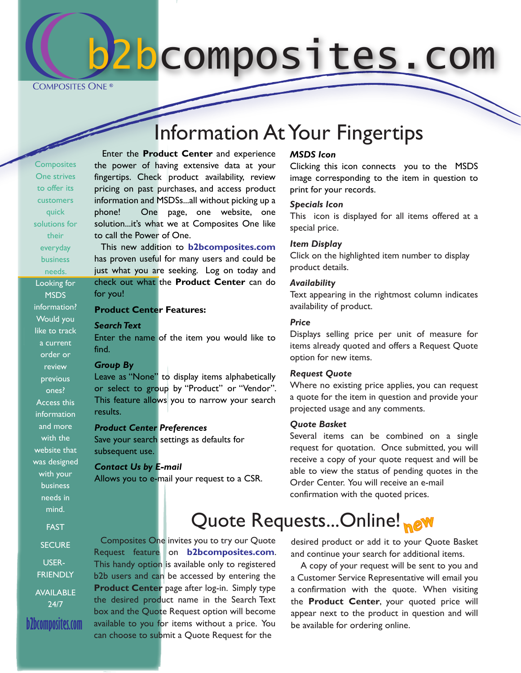b2bcomposites.com

**COMPOSITES ONE**<sup>®</sup>

# Information At Your Fingertips

**Composites** One strives to offer its customers quick solutions for their everyday business needs. Looking for **MSDS** information? Would you like to track a current order or review previous ones? Access this information and more with the website that was designed with your business needs in mind.

 Enter the **Product Center** and experience the power of having extensive data at your fingertips. Check product availability, review pricing on past purchases, and access product information and MSDSs...all without picking up a phone! One page, one website, one solution...it's what we at Composites One like to call the Power of One.

 This new addition to **b2bcomposites.com** has proven useful for many users and could be just what you are seeking. Log on today and check out what the **Product Center** can do for you!

### **Product Center Features:**

#### *Search Text*

Enter the name of the item you would like to find.

#### *Group By*

Leave as "None" to display items alphabetically or select to group by "Product" or "Vendor". This feature allows you to narrow your search results.

#### *Product Center Preferences*

Save your search settings as defaults for subsequent use.

#### *Contact Us by E-mail*

Allows you to e-mail your request to a CSR.

#### *MSDS Icon*

Clicking this icon connects you to the MSDS image corresponding to the item in question to print for your records.

#### *Specials Icon*

This icon is displayed for all items offered at a special price.

#### *Item Display*

Click on the highlighted item number to display product details.

#### *Availability*

Text appearing in the rightmost column indicates availability of product.

#### *Price*

Displays selling price per unit of measure for items already quoted and offers a Request Quote option for new items.

#### *Request Quote*

Where no existing price applies, you can request a quote for the item in question and provide your projected usage and any comments.

#### *Quote Basket*

Several items can be combined on a single request for quotation. Once submitted, you will receive a copy of your quote request and will be able to view the status of pending quotes in the Order Center. You will receive an e-mail confirmation with the quoted prices.

# **Quote Requests...Online! new**

**SECURE** USER-**FRIENDLY** AVAILABLE 24/7

FAST

**b2bcomposites.com**

 Composites One invites you to try our Quote Request feature on **b2bcomposites.com**. This handy option is available only to registered b2b users and can be accessed by entering the **Product Center** page after log-in. Simply type the desired product name in the Search Text box and the Quote Request option will become available to you for items without a price. You can choose to submit a Quote Request for the

desired product or add it to your Quote Basket and continue your search for additional items.

 A copy of your request will be sent to you and a Customer Service Representative will email you a confirmation with the quote. When visiting the **Product Center**, your quoted price will appear next to the product in question and will be available for ordering online.